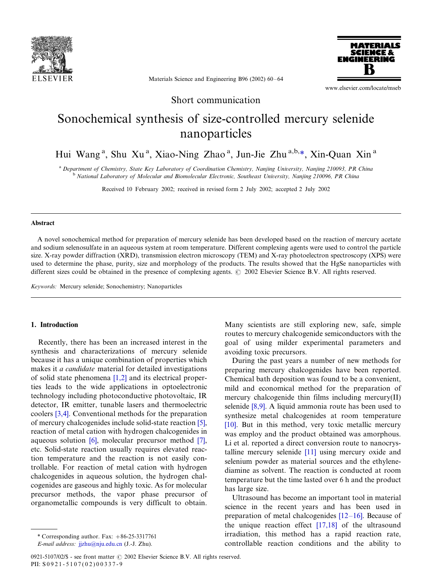

**MATERIALS** SCIENCE & **FNGINFFRING** 

Materials Science and Engineering B96 (2002) 60-64

www.elsevier.com/locate/mseb

Short communication

# Sonochemical synthesis of size-controlled mercury selenide nanoparticles

Hui Wang<sup>a</sup>, Shu Xu<sup>a</sup>, Xiao-Ning Zhao<sup>a</sup>, Jun-Jie Zhu<sup>a,b,\*</sup>, Xin-Quan Xin<sup>a</sup>

<sup>a</sup> Department of Chemistry, State Key Laboratory of Coordination Chemistry, Nanjing University, Nanjing 210093, PR China<br><sup>b</sup> National Laboratory of Molecular and Biomolecular Electronic, Southeast University, Nanjing 2100

Received 10 February 2002; received in revised form 2 July 2002; accepted 2 July 2002

#### Abstract

A novel sonochemical method for preparation of mercury selenide has been developed based on the reaction of mercury acetate and sodium selenosulfate in an aqueous system at room temperature. Different complexing agents were used to control the particle size. X-ray powder diffraction (XRD), transmission electron microscopy (TEM) and X-ray photoelectron spectroscopy (XPS) were used to determine the phase, purity, size and morphology of the products. The results showed that the HgSe nanoparticles with different sizes could be obtained in the presence of complexing agents.  $\odot$  2002 Elsevier Science B.V. All rights reserved.

Keywords: Mercury selenide; Sonochemistry; Nanoparticles

# 1. Introduction

Recently, there has been an increased interest in the synthesis and characterizations of mercury selenide because it has a unique combination of properties which makes it *a candidate* material for detailed investigations of solid state phenomena [\[1,2\]](#page-3-0) and its electrical properties leads to the wide applications in optoelectronic technology including photoconductive photovoltaic, IR detector, IR emitter, tunable lasers and thermoelectric coolers [\[3,4\]](#page-3-0). Conventional methods for the preparation of mercury chalcogenides include solid-state reaction [\[5\]](#page-3-0), reaction of metal cation with hydrogen chalcogenides in aqueous solution [\[6\]](#page-3-0), molecular precursor method [\[7\]](#page-4-0), etc. Solid-state reaction usually requires elevated reaction temperature and the reaction is not easily controllable. For reaction of metal cation with hydrogen chalcogenides in aqueous solution, the hydrogen chalcogenides are gaseous and highly toxic. As for molecular precursor methods, the vapor phase precursor of organometallic compounds is very difficult to obtain.

Many scientists are still exploring new, safe, simple routes to mercury chalcogenide semiconductors with the goal of using milder experimental parameters and avoiding toxic precursors.

During the past years a number of new methods for preparing mercury chalcogenides have been reported. Chemical bath deposition was found to be a convenient, mild and economical method for the preparation of mercury chalcogenide thin films including mercury(II) selenide [\[8,9\]](#page-4-0). A liquid ammonia route has been used to synthesize metal chalcogenides at room temperature [\[10\]](#page-4-0). But in this method, very toxic metallic mercury was employ and the product obtained was amorphous. Li et al. reported a direct conversion route to nanocrystalline mercury selenide [\[11\]](#page-4-0) using mercury oxide and selenium powder as material sources and the ethylenediamine as solvent. The reaction is conducted at room temperature but the time lasted over 6 h and the product has large size.

Ultrasound has become an important tool in material science in the recent years and has been used in preparation of metal chalcogenides  $[12-16]$  $[12-16]$ . Because of the unique reaction effect [\[17,18\]](#page-4-0) of the ultrasound irradiation, this method has a rapid reaction rate, controllable reaction conditions and the ability to

<sup>\*</sup> Corresponding author. Fax:  $+86-25-3317761$ 

E-mail address: [jjzhu@nju.edu.cn](mailto:jjzhu@nju.edu.cn) (J.-J. Zhu).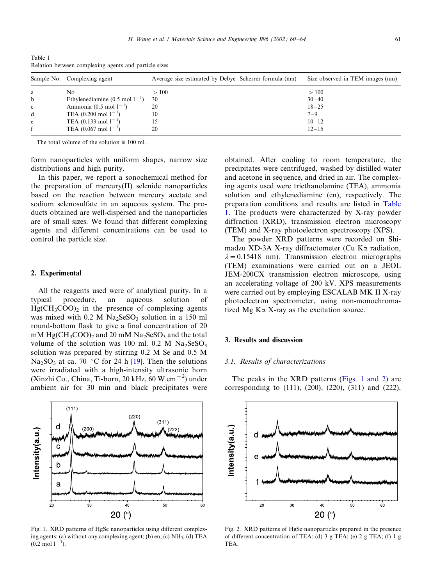| relation between complexing agents and particle sizes |                                             |                                                       |                                  |
|-------------------------------------------------------|---------------------------------------------|-------------------------------------------------------|----------------------------------|
|                                                       | Sample No. Complexing agent                 | Average size estimated by Debye-Scherrer formula (nm) | Size observed in TEM images (nm) |
| a                                                     | No.                                         | >100                                                  | >100                             |
| $\mathbf b$                                           | Ethylenediamine $(0.5 \text{ mol } 1^{-1})$ | 30                                                    | $30 - 40$                        |
| $\mathbf{c}$                                          | Ammonia $(0.5 \text{ mol } 1^{-1})$         | 20                                                    | $18 - 25$                        |
| d                                                     | TEA $(0.200 \text{ mol } 1^{-1})$           | 10                                                    | $7 - 9$                          |
| e                                                     | TEA $(0.133 \text{ mol } 1^{-1})$           |                                                       | $10 - 12$                        |
|                                                       | TEA $(0.067 \text{ mol } 1^{-1})$           |                                                       | $12 - 15$                        |

<span id="page-1-0"></span>Table 1 Relation between complexing agents and particle sizes

The total volume of the solution is 100 ml.

form nanoparticles with uniform shapes, narrow size distributions and high purity.

In this paper, we report a sonochemical method for the preparation of mercury(II) selenide nanoparticles based on the reaction between mercury acetate and sodium selenosulfate in an aqueous system. The products obtained are well-dispersed and the nanoparticles are of small sizes. We found that different complexing agents and different concentrations can be used to control the particle size.

#### 2. Experimental

All the reagents used were of analytical purity. In a typical procedure, an aqueous solution of  $HgCH_3COO$ , in the presence of complexing agents was mixed with  $0.2$  M Na<sub>2</sub>SeSO<sub>3</sub> solution in a 150 ml round-bottom flask to give a final concentration of 20 mM  $HgCH_3COO_2$  and 20 mM  $Na_2SeSO_3$  and the total volume of the solution was 100 ml.  $0.2$  M Na<sub>2</sub>SeSO<sub>3</sub> solution was prepared by stirring 0.2 M Se and 0.5 M  $Na<sub>2</sub>SO<sub>3</sub>$  at ca. 70 °C for 24 h [\[19\]](#page-4-0). Then the solutions were irradiated with a high-intensity ultrasonic horn (Xinzhi Co., China, Ti-born, 20 kHz, 60 W cm $^{-2}$ ) under ambient air for 30 min and black precipitates were



Fig. 1. XRD patterns of HgSe nanoparticles using different complexing agents: (a) without any complexing agent; (b) en; (c)  $NH<sub>3</sub>$ ; (d) TEA  $(0.2 \text{ mol } 1^{-1})$ .

obtained. After cooling to room temperature, the precipitates were centrifuged, washed by distilled water and acetone in sequence, and dried in air. The complexing agents used were triethanolamine (TEA), ammonia solution and ethylenediamine (en), respectively. The preparation conditions and results are listed in Table 1. The products were characterized by X-ray powder diffraction (XRD), transmission electron microscopy (TEM) and X-ray photoelectron spectroscopy (XPS).

The powder XRD patterns were recorded on Shimadzu XD-3A X-ray diffractometer (Cu  $K\alpha$  radiation,  $\lambda = 0.15418$  nm). Transmission electron micrographs (TEM) examinations were carried out on a JEOL JEM-200CX transmission electron microscope, using an accelerating voltage of 200 kV. XPS measurements were carried out by employing ESCALAB MK II X-ray photoelectron spectrometer, using non-monochromatized Mg  $K\alpha$  X-ray as the excitation source.

# 3. Results and discussion

#### 3.1. Results of characterizations

The peaks in the XRD patterns (Figs. 1 and 2) are corresponding to (111), (200), (220), (311) and (222),



Fig. 2. XRD patterns of HgSe nanoparticles prepared in the presence of different concentration of TEA: (d) 3 g TEA; (e) 2 g TEA; (f) 1 g TEA.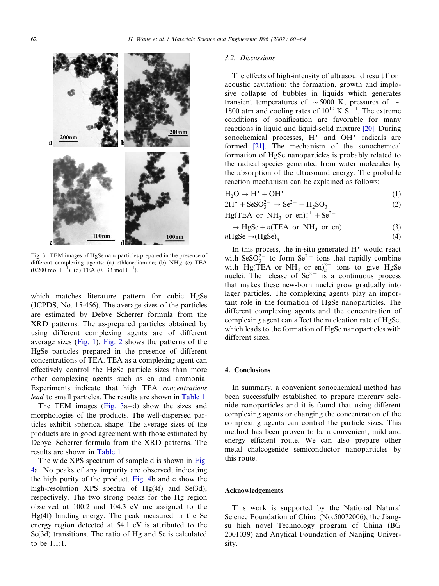

Fig. 3. TEM images of HgSe nanoparticles prepared in the presence of different complexing agents: (a) ethlenediamine; (b) NH<sub>3</sub>; (c) TEA  $(0.200 \text{ mol } 1^{-1})$ ; (d) TEA  $(0.133 \text{ mol } 1^{-1})$ .

which matches literature pattern for cubic HgSe (JCPDS, No. 15-456). The average sizes of the particles are estimated by Debye–Scherrer formula from the XRD patterns. The as-prepared particles obtained by using different complexing agents are of different average sizes [\(Fig. 1](#page-1-0)). [Fig. 2](#page-1-0) shows the patterns of the HgSe particles prepared in the presence of different concentrations of TEA. TEA as a complexing agent can effectively control the HgSe particle sizes than more other complexing agents such as en and ammonia. Experiments indicate that high TEA concentrations lead to small particles. The results are shown in [Table 1](#page-1-0).

The TEM images (Fig. 3a-d) show the sizes and morphologies of the products. The well-dispersed particles exhibit spherical shape. The average sizes of the products are in good agreement with those estimated by Debye-Scherrer formula from the XRD patterns. The results are shown in [Table 1](#page-1-0).

The wide XPS spectrum of sample d is shown in [Fig.](#page-3-0) [4a](#page-3-0). No peaks of any impurity are observed, indicating the high purity of the product. [Fig. 4](#page-3-0)b and c show the high-resolution XPS spectra of Hg(4f) and Se(3d), respectively. The two strong peaks for the Hg region observed at 100.2 and 104.3 eV are assigned to the Hg(4f) binding energy. The peak measured in the Se energy region detected at 54.1 eV is attributed to the Se(3d) transitions. The ratio of Hg and Se is calculated to be 1.1:1.

#### 3.2. Discussions

The effects of high-intensity of ultrasound result from acoustic cavitation: the formation, growth and implosive collapse of bubbles in liquids which generates transient temperatures of  $\sim$  5000 K, pressures of  $\sim$ 1800 atm and cooling rates of  $10^{10}$  K S<sup>-1</sup>. The extreme conditions of sonification are favorable for many reactions in liquid and liquid-solid mixture [\[20\]](#page-4-0). During sonochemical processes, H<sup>\*</sup> and OH<sup>\*</sup> radicals are formed [\[21\].](#page-4-0) The mechanism of the sonochemical formation of HgSe nanoparticles is probably related to the radical species generated from water molecules by the absorption of the ultrasound energy. The probable reaction mechanism can be explained as follows:

$$
H_2O \to H^* + OH^* \tag{1}
$$

$$
2H^{\bullet} + SeSO_3^{2-} \rightarrow Se^{2-} + H_2SO_3 \tag{2}
$$

Hg(TEA or NH<sub>3</sub> or en)<sup>2+</sup> + Se<sup>2-</sup>

$$
\rightarrow HgSe + n(TEA \text{ or } NH_3 \text{ or en})
$$
\n(3)  
\n
$$
nHgSe \rightarrow (HgSe)_n
$$
\n(4)

In this process, the in-situ generated  $H^*$  would react with  $\text{SeSO}_3^{2-}$  to form  $\text{Se}^{2-}$  ions that rapidly combine with Hg(TEA or NH<sub>3</sub> or en)<sup>2+</sup> ions to give HgSe nuclei. The release of  $Se^{2-}$  is a continuous process that makes these new-born nuclei grow gradually into lager particles. The complexing agents play an important role in the formation of HgSe nanoparticles. The different complexing agents and the concentration of complexing agent can affect the nucleation rate of HgSe, which leads to the formation of HgSe nanoparticles with different sizes.

### 4. Conclusions

In summary, a convenient sonochemical method has been successfully established to prepare mercury selenide nanoparticles and it is found that using different complexing agents or changing the concentration of the complexing agents can control the particle sizes. This method has been proven to be a convenient, mild and energy efficient route. We can also prepare other metal chalcogenide semiconductor nanoparticles by this route.

## Acknowledgements

This work is supported by the National Natural Science Foundation of China (No.50072006), the Jiangsu high novel Technology program of China (BG 2001039) and Anytical Foundation of Nanjing University.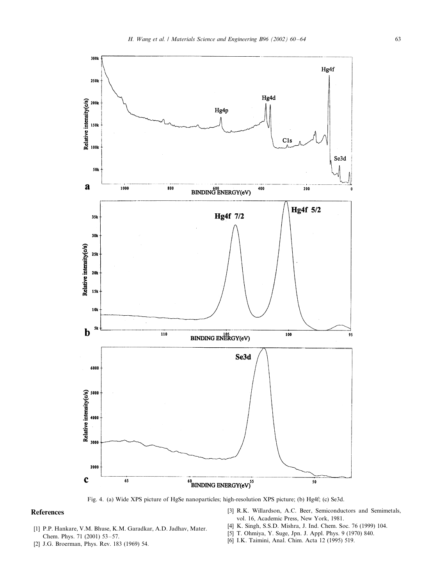<span id="page-3-0"></span>

Fig. 4. (a) Wide XPS picture of HgSe nanoparticles; high-resolution XPS picture; (b) Hg4f; (c) Se3d.

# References

- [1] P.P. Hankare, V.M. Bhuse, K.M. Garadkar, A.D. Jadhav, Mater. Chem. Phys. 71 (2001) 53-57.
- [2] J.G. Broerman, Phys. Rev. 183 (1969) 54.
- [3] R.K. Willardson, A.C. Beer, Semiconductors and Semimetals, vol. 16, Academic Press, New York, 1981.
- [4] K. Singh, S.S.D. Mishra, J. Ind. Chem. Soc. 76 (1999) 104.
- [5] T. Ohmiya, Y. Suge, Jpn. J. Appl. Phys. 9 (1970) 840.
- [6] I.K. Taimini, Anal. Chim. Acta 12 (1995) 519.